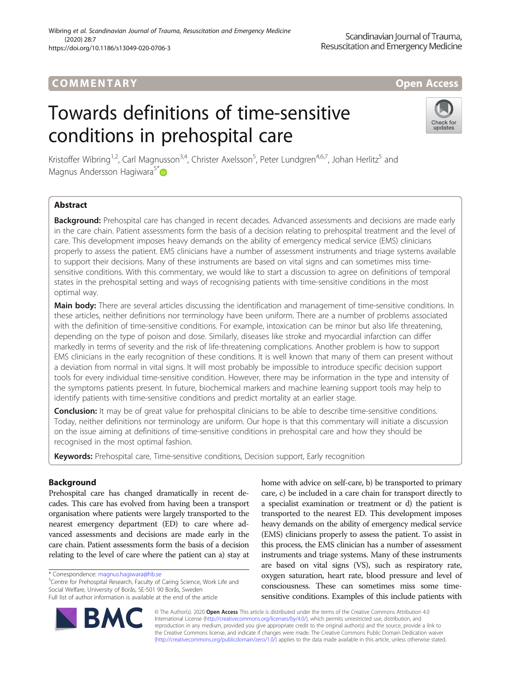# COMM EN TARY Open Access

# Towards definitions of time-sensitive conditions in prehospital care



Kristoffer Wibring<sup>1,2</sup>, Carl Magnusson<sup>3,4</sup>, Christer Axelsson<sup>5</sup>, Peter Lundgren<sup>4,6,7</sup>, Johan Herlitz<sup>5</sup> and Magnus Andersson Hagiwara<sup>5\*</sup>

# Abstract

Background: Prehospital care has changed in recent decades. Advanced assessments and decisions are made early in the care chain. Patient assessments form the basis of a decision relating to prehospital treatment and the level of care. This development imposes heavy demands on the ability of emergency medical service (EMS) clinicians properly to assess the patient. EMS clinicians have a number of assessment instruments and triage systems available to support their decisions. Many of these instruments are based on vital signs and can sometimes miss timesensitive conditions. With this commentary, we would like to start a discussion to agree on definitions of temporal states in the prehospital setting and ways of recognising patients with time-sensitive conditions in the most optimal way.

Main body: There are several articles discussing the identification and management of time-sensitive conditions. In these articles, neither definitions nor terminology have been uniform. There are a number of problems associated with the definition of time-sensitive conditions. For example, intoxication can be minor but also life threatening, depending on the type of poison and dose. Similarly, diseases like stroke and myocardial infarction can differ markedly in terms of severity and the risk of life-threatening complications. Another problem is how to support EMS clinicians in the early recognition of these conditions. It is well known that many of them can present without a deviation from normal in vital signs. It will most probably be impossible to introduce specific decision support tools for every individual time-sensitive condition. However, there may be information in the type and intensity of the symptoms patients present. In future, biochemical markers and machine learning support tools may help to identify patients with time-sensitive conditions and predict mortality at an earlier stage.

**Conclusion:** It may be of great value for prehospital clinicians to be able to describe time-sensitive conditions. Today, neither definitions nor terminology are uniform. Our hope is that this commentary will initiate a discussion on the issue aiming at definitions of time-sensitive conditions in prehospital care and how they should be recognised in the most optimal fashion.

Keywords: Prehospital care, Time-sensitive conditions, Decision support, Early recognition

## Background

Prehospital care has changed dramatically in recent decades. This care has evolved from having been a transport organisation where patients were largely transported to the nearest emergency department (ED) to care where advanced assessments and decisions are made early in the care chain. Patient assessments form the basis of a decision relating to the level of care where the patient can a) stay at

<sup>5</sup>Centre for Prehospital Research, Faculty of Caring Science, Work Life and Social Welfare, University of Borås, SE-501 90 Borås, Sweden Full list of author information is available at the end of the article

home with advice on self-care, b) be transported to primary care, c) be included in a care chain for transport directly to a specialist examination or treatment or d) the patient is transported to the nearest ED. This development imposes heavy demands on the ability of emergency medical service (EMS) clinicians properly to assess the patient. To assist in this process, the EMS clinician has a number of assessment instruments and triage systems. Many of these instruments are based on vital signs (VS), such as respiratory rate, oxygen saturation, heart rate, blood pressure and level of consciousness. These can sometimes miss some timesensitive conditions. Examples of this include patients with



© The Author(s). 2020 **Open Access** This article is distributed under the terms of the Creative Commons Attribution 4.0 International License [\(http://creativecommons.org/licenses/by/4.0/](http://creativecommons.org/licenses/by/4.0/)), which permits unrestricted use, distribution, and reproduction in any medium, provided you give appropriate credit to the original author(s) and the source, provide a link to the Creative Commons license, and indicate if changes were made. The Creative Commons Public Domain Dedication waiver [\(http://creativecommons.org/publicdomain/zero/1.0/](http://creativecommons.org/publicdomain/zero/1.0/)) applies to the data made available in this article, unless otherwise stated.

<sup>\*</sup> Correspondence: [magnus.hagiwara@hb.se](mailto:magnus.hagiwara@hb.se) <sup>5</sup>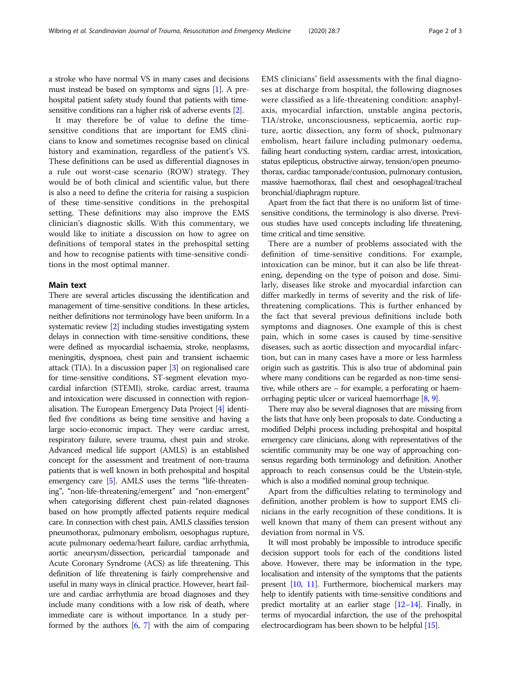a stroke who have normal VS in many cases and decisions must instead be based on symptoms and signs [[1](#page-2-0)]. A prehospital patient safety study found that patients with timesensitive conditions ran a higher risk of adverse events [[2](#page-2-0)].

It may therefore be of value to define the timesensitive conditions that are important for EMS clinicians to know and sometimes recognise based on clinical history and examination, regardless of the patient's VS. These definitions can be used as differential diagnoses in a rule out worst-case scenario (ROW) strategy. They would be of both clinical and scientific value, but there is also a need to define the criteria for raising a suspicion of these time-sensitive conditions in the prehospital setting. These definitions may also improve the EMS clinician's diagnostic skills. With this commentary, we would like to initiate a discussion on how to agree on definitions of temporal states in the prehospital setting and how to recognise patients with time-sensitive conditions in the most optimal manner.

### Main text

There are several articles discussing the identification and management of time-sensitive conditions. In these articles, neither definitions nor terminology have been uniform. In a systematic review [\[2](#page-2-0)] including studies investigating system delays in connection with time-sensitive conditions, these were defined as myocardial ischaemia, stroke, neoplasms, meningitis, dyspnoea, chest pain and transient ischaemic attack (TIA). In a discussion paper [\[3](#page-2-0)] on regionalised care for time-sensitive conditions, ST-segment elevation myocardial infarction (STEMI), stroke, cardiac arrest, trauma and intoxication were discussed in connection with regionalisation. The European Emergency Data Project [\[4\]](#page-2-0) identified five conditions as being time sensitive and having a large socio-economic impact. They were cardiac arrest, respiratory failure, severe trauma, chest pain and stroke. Advanced medical life support (AMLS) is an established concept for the assessment and treatment of non-trauma patients that is well known in both prehospital and hospital emergency care [\[5\]](#page-2-0). AMLS uses the terms "life-threatening", "non-life-threatening/emergent" and "non-emergent" when categorising different chest pain-related diagnoses based on how promptly affected patients require medical care. In connection with chest pain, AMLS classifies tension pneumothorax, pulmonary embolism, oesophagus rupture, acute pulmonary oedema/heart failure, cardiac arrhythmia, aortic aneurysm/dissection, pericardial tamponade and Acute Coronary Syndrome (ACS) as life threatening. This definition of life threatening is fairly comprehensive and useful in many ways in clinical practice. However, heart failure and cardiac arrhythmia are broad diagnoses and they include many conditions with a low risk of death, where immediate care is without importance. In a study performed by the authors [\[6](#page-2-0), [7](#page-2-0)] with the aim of comparing EMS clinicians' field assessments with the final diagnoses at discharge from hospital, the following diagnoses were classified as a life-threatening condition: anaphylaxis, myocardial infarction, unstable angina pectoris, TIA/stroke, unconsciousness, septicaemia, aortic rupture, aortic dissection, any form of shock, pulmonary embolism, heart failure including pulmonary oedema, failing heart conducting system, cardiac arrest, intoxication, status epilepticus, obstructive airway, tension/open pneumothorax, cardiac tamponade/contusion, pulmonary contusion, massive haemothorax, flail chest and oesophageal/tracheal bronchial/diaphragm rupture.

Apart from the fact that there is no uniform list of timesensitive conditions, the terminology is also diverse. Previous studies have used concepts including life threatening, time critical and time sensitive.

There are a number of problems associated with the definition of time-sensitive conditions. For example, intoxication can be minor, but it can also be life threatening, depending on the type of poison and dose. Similarly, diseases like stroke and myocardial infarction can differ markedly in terms of severity and the risk of lifethreatening complications. This is further enhanced by the fact that several previous definitions include both symptoms and diagnoses. One example of this is chest pain, which in some cases is caused by time-sensitive diseases, such as aortic dissection and myocardial infarction, but can in many cases have a more or less harmless origin such as gastritis. This is also true of abdominal pain where many conditions can be regarded as non-time sensitive, while others are – for example, a perforating or haemorrhaging peptic ulcer or variceal haemorrhage [\[8,](#page-2-0) [9\]](#page-2-0).

There may also be several diagnoses that are missing from the lists that have only been proposals to date. Conducting a modified Delphi process including prehospital and hospital emergency care clinicians, along with representatives of the scientific community may be one way of approaching consensus regarding both terminology and definition. Another approach to reach consensus could be the Utstein-style, which is also a modified nominal group technique.

Apart from the difficulties relating to terminology and definition, another problem is how to support EMS clinicians in the early recognition of these conditions. It is well known that many of them can present without any deviation from normal in VS.

It will most probably be impossible to introduce specific decision support tools for each of the conditions listed above. However, there may be information in the type, localisation and intensity of the symptoms that the patients present [\[10,](#page-2-0) [11](#page-2-0)]. Furthermore, biochemical markers may help to identify patients with time-sensitive conditions and predict mortality at an earlier stage [\[12](#page-2-0)–[14\]](#page-2-0). Finally, in terms of myocardial infarction, the use of the prehospital electrocardiogram has been shown to be helpful [\[15](#page-2-0)].